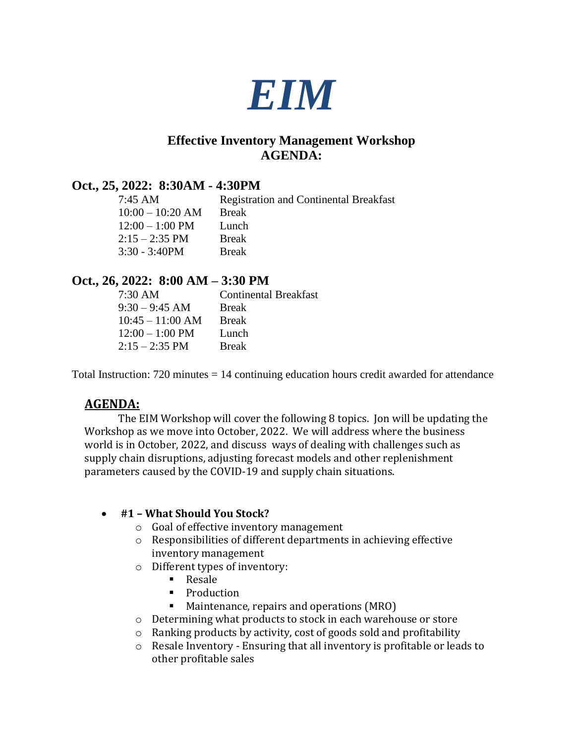

# **Effective Inventory Management Workshop AGENDA:**

## **Oct., 25, 2022: 8:30AM - 4:30PM**

7:45 AM Registration and Continental Breakfast 10:00 – 10:20 AM Break  $12:00 - 1:00 \text{ PM}$  Lunch<br> $2:15 - 2:35 \text{ PM}$  Break  $2:15 - 2:35$  PM 3:30 - 3:40PM Break

## **Oct., 26, 2022: 8:00 AM – 3:30 PM**

| <b>Break</b> |
|--------------|
| <b>Break</b> |
| Lunch        |
| <b>Break</b> |
|              |

Total Instruction: 720 minutes = 14 continuing education hours credit awarded for attendance

# **AGENDA:**

The EIM Workshop will cover the following 8 topics. Jon will be updating the Workshop as we move into October, 2022. We will address where the business world is in October, 2022, and discuss ways of dealing with challenges such as supply chain disruptions, adjusting forecast models and other replenishment parameters caused by the COVID-19 and supply chain situations.

## • **#1 – What Should You Stock?**

- o Goal of effective inventory management
- o Responsibilities of different departments in achieving effective inventory management
- o Different types of inventory:
	- Resale
	- Production
	- Maintenance, repairs and operations (MRO)
- o Determining what products to stock in each warehouse or store
- o Ranking products by activity, cost of goods sold and profitability
- o Resale Inventory Ensuring that all inventory is profitable or leads to other profitable sales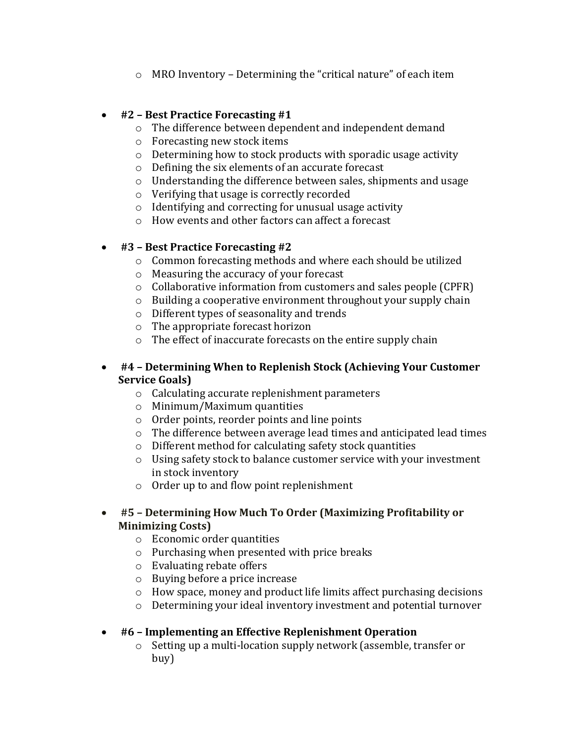o MRO Inventory – Determining the "critical nature" of each item

## • **#2 – Best Practice Forecasting #1**

- o The difference between dependent and independent demand
- o Forecasting new stock items
- o Determining how to stock products with sporadic usage activity
- o Defining the six elements of an accurate forecast
- o Understanding the difference between sales, shipments and usage
- o Verifying that usage is correctly recorded
- o Identifying and correcting for unusual usage activity
- o How events and other factors can affect a forecast

## • **#3 – Best Practice Forecasting #2**

- o Common forecasting methods and where each should be utilized
- o Measuring the accuracy of your forecast
- o Collaborative information from customers and sales people (CPFR)
- o Building a cooperative environment throughout your supply chain
- o Different types of seasonality and trends
- o The appropriate forecast horizon
- o The effect of inaccurate forecasts on the entire supply chain

### • **#4 – Determining When to Replenish Stock (Achieving Your Customer Service Goals)**

- o Calculating accurate replenishment parameters
- o Minimum/Maximum quantities
- o Order points, reorder points and line points
- o The difference between average lead times and anticipated lead times
- o Different method for calculating safety stock quantities
- o Using safety stock to balance customer service with your investment in stock inventory
- o Order up to and flow point replenishment

### • **#5 – Determining How Much To Order (Maximizing Profitability or Minimizing Costs)**

- o Economic order quantities
- o Purchasing when presented with price breaks
- o Evaluating rebate offers
- o Buying before a price increase
- o How space, money and product life limits affect purchasing decisions
- o Determining your ideal inventory investment and potential turnover

## • **#6 – Implementing an Effective Replenishment Operation**

o Setting up a multi-location supply network (assemble, transfer or buy)